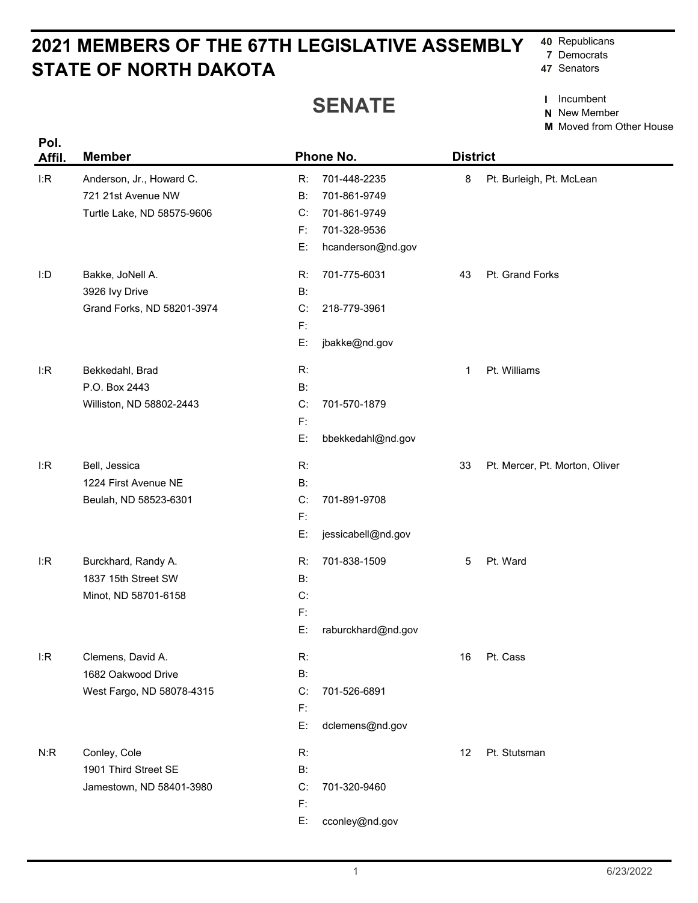## **STATE OF NORTH DAKOTA 2021 MEMBERS OF THE 67TH LEGISLATIVE ASSEMBLY**

## **SENATE**

**40** Republicans

- **7** Democrats
- **47** Senators

**I** Incumbent

**N** New Member

**M** Moved from Other House

| Pol.<br>Affil. | <b>Member</b>              |                | Phone No.          |    | <b>District</b>                |  |
|----------------|----------------------------|----------------|--------------------|----|--------------------------------|--|
| I:R            | Anderson, Jr., Howard C.   | R:             | 701-448-2235       | 8  | Pt. Burleigh, Pt. McLean       |  |
|                | 721 21st Avenue NW         | B:             | 701-861-9749       |    |                                |  |
|                | Turtle Lake, ND 58575-9606 | C:             | 701-861-9749       |    |                                |  |
|                |                            | F:             | 701-328-9536       |    |                                |  |
|                |                            | E:             | hcanderson@nd.gov  |    |                                |  |
| I:D            | Bakke, JoNell A.           | R:             | 701-775-6031       | 43 | Pt. Grand Forks                |  |
|                | 3926 Ivy Drive             | B:             |                    |    |                                |  |
|                | Grand Forks, ND 58201-3974 | C:             | 218-779-3961       |    |                                |  |
|                |                            | $\mathsf{F}$ : |                    |    |                                |  |
|                |                            | E:             | jbakke@nd.gov      |    |                                |  |
| I:R            | Bekkedahl, Brad            | R:             |                    | 1  | Pt. Williams                   |  |
|                | P.O. Box 2443              | $B$ :          |                    |    |                                |  |
|                | Williston, ND 58802-2443   | C:             | 701-570-1879       |    |                                |  |
|                |                            | F:             |                    |    |                                |  |
|                |                            | E:             | bbekkedahl@nd.gov  |    |                                |  |
| I:R            | Bell, Jessica              | R:             |                    | 33 | Pt. Mercer, Pt. Morton, Oliver |  |
|                | 1224 First Avenue NE       | $B$ :          |                    |    |                                |  |
|                | Beulah, ND 58523-6301      | C:             | 701-891-9708       |    |                                |  |
|                |                            | $\mathsf{F}$ : |                    |    |                                |  |
|                |                            | E:             | jessicabell@nd.gov |    |                                |  |
| I:R            | Burckhard, Randy A.        | R:             | 701-838-1509       | 5  | Pt. Ward                       |  |
|                | 1837 15th Street SW        | B:             |                    |    |                                |  |
|                | Minot, ND 58701-6158       | C:             |                    |    |                                |  |
|                |                            | $\mathsf{F}$ : |                    |    |                                |  |
|                |                            | E:             | raburckhard@nd.gov |    |                                |  |
| I:R            | Clemens, David A.          | R:             |                    | 16 | Pt. Cass                       |  |
|                | 1682 Oakwood Drive         | <b>B:</b>      |                    |    |                                |  |
|                | West Fargo, ND 58078-4315  | C:             | 701-526-6891       |    |                                |  |
|                |                            | F:             |                    |    |                                |  |
|                |                            | E:             | dclemens@nd.gov    |    |                                |  |
| N:R            | Conley, Cole               | R:             |                    | 12 | Pt. Stutsman                   |  |
|                | 1901 Third Street SE       | <b>B:</b>      |                    |    |                                |  |
|                | Jamestown, ND 58401-3980   | C:<br>F:       | 701-320-9460       |    |                                |  |
|                |                            | E:             | cconley@nd.gov     |    |                                |  |
|                |                            |                |                    |    |                                |  |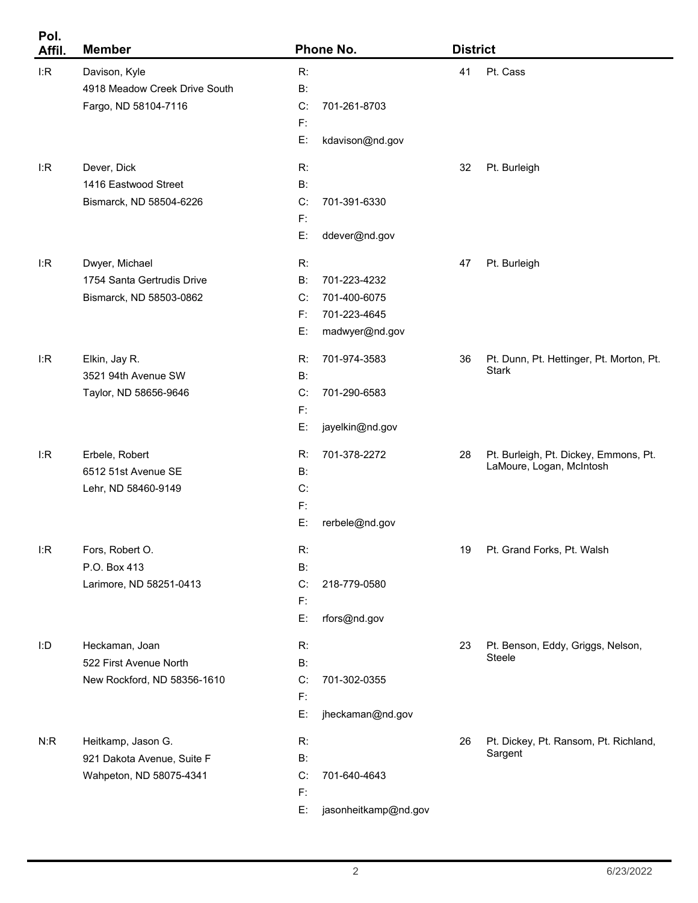| Pol.<br>Affil. | <b>Member</b>                 | Phone No.                  |    | <b>District</b>                                  |  |
|----------------|-------------------------------|----------------------------|----|--------------------------------------------------|--|
| I:R            | Davison, Kyle                 | R:                         | 41 | Pt. Cass                                         |  |
|                | 4918 Meadow Creek Drive South | $B$ :                      |    |                                                  |  |
|                | Fargo, ND 58104-7116          | C:<br>701-261-8703         |    |                                                  |  |
|                |                               | $F$ :                      |    |                                                  |  |
|                |                               | E:<br>kdavison@nd.gov      |    |                                                  |  |
| I:R            | Dever, Dick                   | R:                         | 32 | Pt. Burleigh                                     |  |
|                | 1416 Eastwood Street          | $B$ :                      |    |                                                  |  |
|                | Bismarck, ND 58504-6226       | C:<br>701-391-6330         |    |                                                  |  |
|                |                               | $F$ :                      |    |                                                  |  |
|                |                               | E:<br>ddever@nd.gov        |    |                                                  |  |
| I:R            | Dwyer, Michael                | R:                         | 47 | Pt. Burleigh                                     |  |
|                | 1754 Santa Gertrudis Drive    | 701-223-4232<br>B:         |    |                                                  |  |
|                | Bismarck, ND 58503-0862       | 701-400-6075<br>C:         |    |                                                  |  |
|                |                               | F:<br>701-223-4645         |    |                                                  |  |
|                |                               | E:<br>madwyer@nd.gov       |    |                                                  |  |
| I:R            | Elkin, Jay R.                 | 701-974-3583<br>R:         | 36 | Pt. Dunn, Pt. Hettinger, Pt. Morton, Pt.         |  |
|                | 3521 94th Avenue SW           | <b>B:</b>                  |    | <b>Stark</b>                                     |  |
|                | Taylor, ND 58656-9646         | C:<br>701-290-6583         |    |                                                  |  |
|                |                               | $F$ :                      |    |                                                  |  |
|                |                               | E:<br>jayelkin@nd.gov      |    |                                                  |  |
| I:R            | Erbele, Robert                | R:<br>701-378-2272         | 28 | Pt. Burleigh, Pt. Dickey, Emmons, Pt.            |  |
|                | 6512 51st Avenue SE           | <b>B:</b>                  |    | LaMoure, Logan, McIntosh                         |  |
|                | Lehr, ND 58460-9149           | C:                         |    |                                                  |  |
|                |                               | $\mathsf{F}$               |    |                                                  |  |
|                |                               | E:<br>rerbele@nd.gov       |    |                                                  |  |
| I:R            | Fors, Robert O.               | R:                         | 19 | Pt. Grand Forks, Pt. Walsh                       |  |
|                | P.O. Box 413                  | <b>B:</b>                  |    |                                                  |  |
|                | Larimore, ND 58251-0413       | C:<br>218-779-0580         |    |                                                  |  |
|                |                               | F:                         |    |                                                  |  |
|                |                               | E:<br>rfors@nd.gov         |    |                                                  |  |
| I:D            | Heckaman, Joan                | R:                         | 23 | Pt. Benson, Eddy, Griggs, Nelson,                |  |
|                | 522 First Avenue North        | <b>B:</b>                  |    | Steele                                           |  |
|                | New Rockford, ND 58356-1610   | C:<br>701-302-0355         |    |                                                  |  |
|                |                               | F:                         |    |                                                  |  |
|                |                               | E:<br>jheckaman@nd.gov     |    |                                                  |  |
| N:R            | Heitkamp, Jason G.            | R:                         | 26 | Pt. Dickey, Pt. Ransom, Pt. Richland,<br>Sargent |  |
|                | 921 Dakota Avenue, Suite F    | <b>B:</b>                  |    |                                                  |  |
|                | Wahpeton, ND 58075-4341       | C:<br>701-640-4643<br>F:   |    |                                                  |  |
|                |                               | E:<br>jasonheitkamp@nd.gov |    |                                                  |  |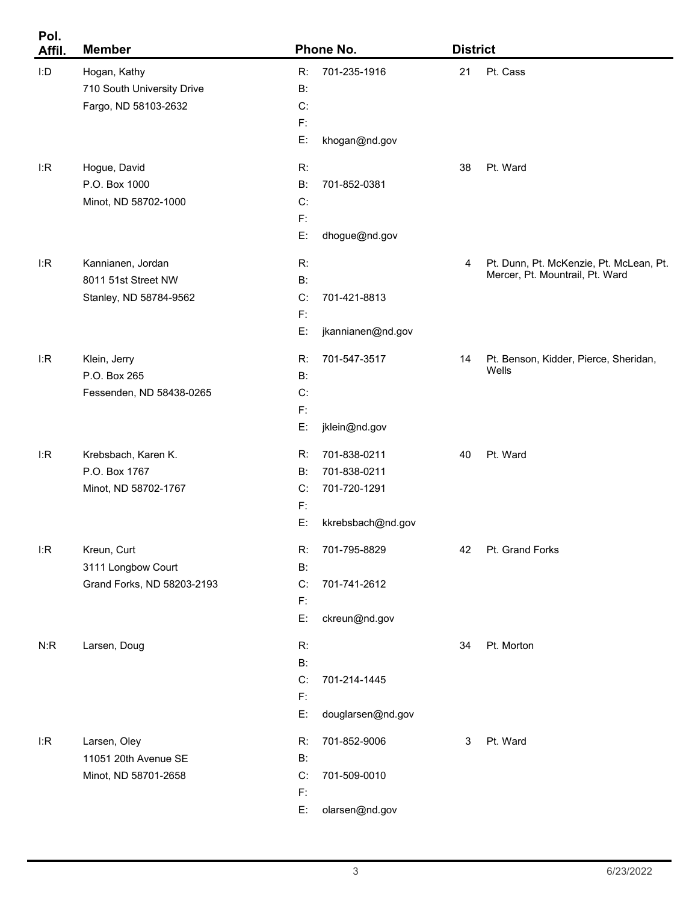| Pol.<br>Affil. | <b>Member</b>              |                | Phone No.         |    | <b>District</b>                         |  |
|----------------|----------------------------|----------------|-------------------|----|-----------------------------------------|--|
| I:D            | Hogan, Kathy               | R:             | 701-235-1916      | 21 | Pt. Cass                                |  |
|                | 710 South University Drive | B:             |                   |    |                                         |  |
|                | Fargo, ND 58103-2632       | C:             |                   |    |                                         |  |
|                |                            | $F$ :          |                   |    |                                         |  |
|                |                            | E:             | khogan@nd.gov     |    |                                         |  |
| l:R            | Hogue, David               | R:             |                   | 38 | Pt. Ward                                |  |
|                | P.O. Box 1000              | $B$ :          | 701-852-0381      |    |                                         |  |
|                | Minot, ND 58702-1000       | C:             |                   |    |                                         |  |
|                |                            | $F$ :          |                   |    |                                         |  |
|                |                            | E:             | dhogue@nd.gov     |    |                                         |  |
| l:R            | Kannianen, Jordan          | R:             |                   | 4  | Pt. Dunn, Pt. McKenzie, Pt. McLean, Pt. |  |
|                | 8011 51st Street NW        | <b>B:</b>      |                   |    | Mercer, Pt. Mountrail, Pt. Ward         |  |
|                | Stanley, ND 58784-9562     | C:             | 701-421-8813      |    |                                         |  |
|                |                            | $F$ :          |                   |    |                                         |  |
|                |                            | E:             | jkannianen@nd.gov |    |                                         |  |
| l:R            | Klein, Jerry               | R:             | 701-547-3517      | 14 | Pt. Benson, Kidder, Pierce, Sheridan,   |  |
|                | P.O. Box 265               | B:             |                   |    | Wells                                   |  |
|                | Fessenden, ND 58438-0265   | C:             |                   |    |                                         |  |
|                |                            | F:             |                   |    |                                         |  |
|                |                            | E:             | jklein@nd.gov     |    |                                         |  |
| l:R            | Krebsbach, Karen K.        | R:             | 701-838-0211      | 40 | Pt. Ward                                |  |
|                | P.O. Box 1767              | <b>B:</b>      | 701-838-0211      |    |                                         |  |
|                | Minot, ND 58702-1767       | C:             | 701-720-1291      |    |                                         |  |
|                |                            | F:             |                   |    |                                         |  |
|                |                            | E:             | kkrebsbach@nd.gov |    |                                         |  |
| I:R            | Kreun, Curt                | R:             | 701-795-8829      | 42 | Pt. Grand Forks                         |  |
|                | 3111 Longbow Court         | B:             |                   |    |                                         |  |
|                | Grand Forks, ND 58203-2193 | C:             | 701-741-2612      |    |                                         |  |
|                |                            | $\mathsf{F}$ : |                   |    |                                         |  |
|                |                            | E:             | ckreun@nd.gov     |    |                                         |  |
| N:R            | Larsen, Doug               | R:             |                   | 34 | Pt. Morton                              |  |
|                |                            | $B$ :          |                   |    |                                         |  |
|                |                            | C:             | 701-214-1445      |    |                                         |  |
|                |                            | $\mathsf{F}$ : |                   |    |                                         |  |
|                |                            | E:             | douglarsen@nd.gov |    |                                         |  |
| I:R            | Larsen, Oley               | R:             | 701-852-9006      | 3  | Pt. Ward                                |  |
|                | 11051 20th Avenue SE       | B:             |                   |    |                                         |  |
|                | Minot, ND 58701-2658       | C:             | 701-509-0010      |    |                                         |  |
|                |                            | $\mathsf{F}$ : |                   |    |                                         |  |
|                |                            | E:             | olarsen@nd.gov    |    |                                         |  |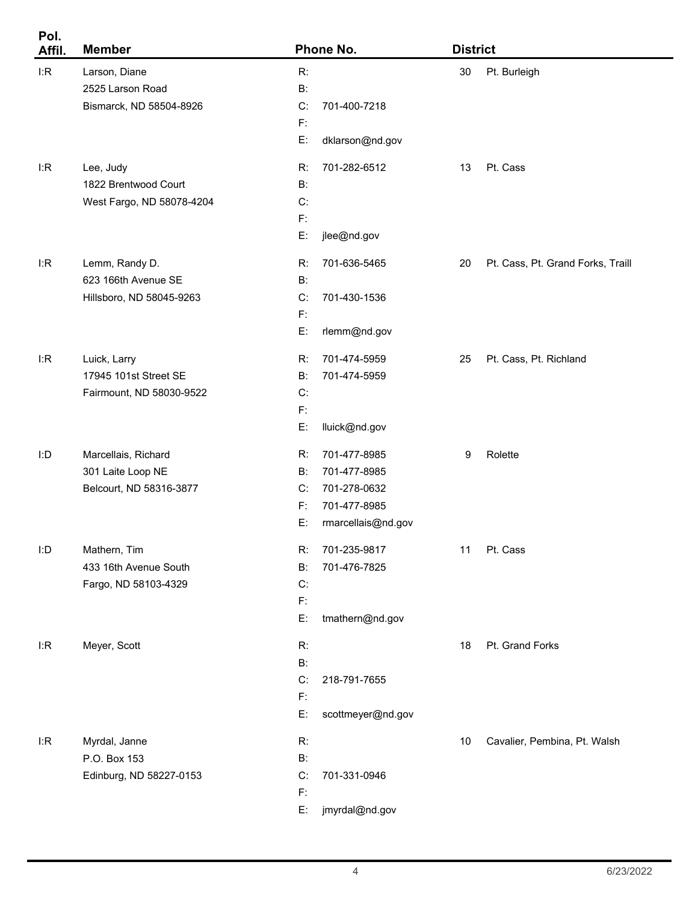| Pol.<br>Affil. | <b>Member</b>             |                | Phone No.          |        | <b>District</b>                   |  |
|----------------|---------------------------|----------------|--------------------|--------|-----------------------------------|--|
| I:R            | Larson, Diane             | R:             |                    | $30\,$ | Pt. Burleigh                      |  |
|                | 2525 Larson Road          | $B$ :          |                    |        |                                   |  |
|                | Bismarck, ND 58504-8926   | C:             | 701-400-7218       |        |                                   |  |
|                |                           | F:             |                    |        |                                   |  |
|                |                           | E:             | dklarson@nd.gov    |        |                                   |  |
| l:R            | Lee, Judy                 | R:             | 701-282-6512       | 13     | Pt. Cass                          |  |
|                | 1822 Brentwood Court      | <b>B:</b>      |                    |        |                                   |  |
|                | West Fargo, ND 58078-4204 | C:             |                    |        |                                   |  |
|                |                           | F:             |                    |        |                                   |  |
|                |                           | E:             | jlee@nd.gov        |        |                                   |  |
| l:R            | Lemm, Randy D.            | R:             | 701-636-5465       | 20     | Pt. Cass, Pt. Grand Forks, Traill |  |
|                | 623 166th Avenue SE       | B:             |                    |        |                                   |  |
|                | Hillsboro, ND 58045-9263  | C:             | 701-430-1536       |        |                                   |  |
|                |                           | F:             |                    |        |                                   |  |
|                |                           | E:             | rlemm@nd.gov       |        |                                   |  |
| l:R            | Luick, Larry              | R:             | 701-474-5959       | 25     | Pt. Cass, Pt. Richland            |  |
|                | 17945 101st Street SE     | <b>B:</b>      | 701-474-5959       |        |                                   |  |
|                | Fairmount, ND 58030-9522  | C:             |                    |        |                                   |  |
|                |                           | F:             |                    |        |                                   |  |
|                |                           | E:             | lluick@nd.gov      |        |                                   |  |
| I:D            | Marcellais, Richard       | R:             | 701-477-8985       | 9      | Rolette                           |  |
|                | 301 Laite Loop NE         | B:             | 701-477-8985       |        |                                   |  |
|                | Belcourt, ND 58316-3877   | C:             | 701-278-0632       |        |                                   |  |
|                |                           | F:             | 701-477-8985       |        |                                   |  |
|                |                           | E:             | rmarcellais@nd.gov |        |                                   |  |
| I:D            | Mathern, Tim              | R:             | 701-235-9817       | 11     | Pt. Cass                          |  |
|                | 433 16th Avenue South     | B:             | 701-476-7825       |        |                                   |  |
|                | Fargo, ND 58103-4329      | C:             |                    |        |                                   |  |
|                |                           | $F$ :          |                    |        |                                   |  |
|                |                           | E:             | tmathern@nd.gov    |        |                                   |  |
| l:R            | Meyer, Scott              | R:             |                    | 18     | Pt. Grand Forks                   |  |
|                |                           | <b>B:</b>      |                    |        |                                   |  |
|                |                           | C:             | 218-791-7655       |        |                                   |  |
|                |                           | $F$ :          |                    |        |                                   |  |
|                |                           | E:             | scottmeyer@nd.gov  |        |                                   |  |
| l:R            | Myrdal, Janne             | R:             |                    | 10     | Cavalier, Pembina, Pt. Walsh      |  |
|                | P.O. Box 153              | <b>B:</b>      |                    |        |                                   |  |
|                | Edinburg, ND 58227-0153   | C:             | 701-331-0946       |        |                                   |  |
|                |                           | $\mathsf{F}$ : |                    |        |                                   |  |
|                |                           | E:             | jmyrdal@nd.gov     |        |                                   |  |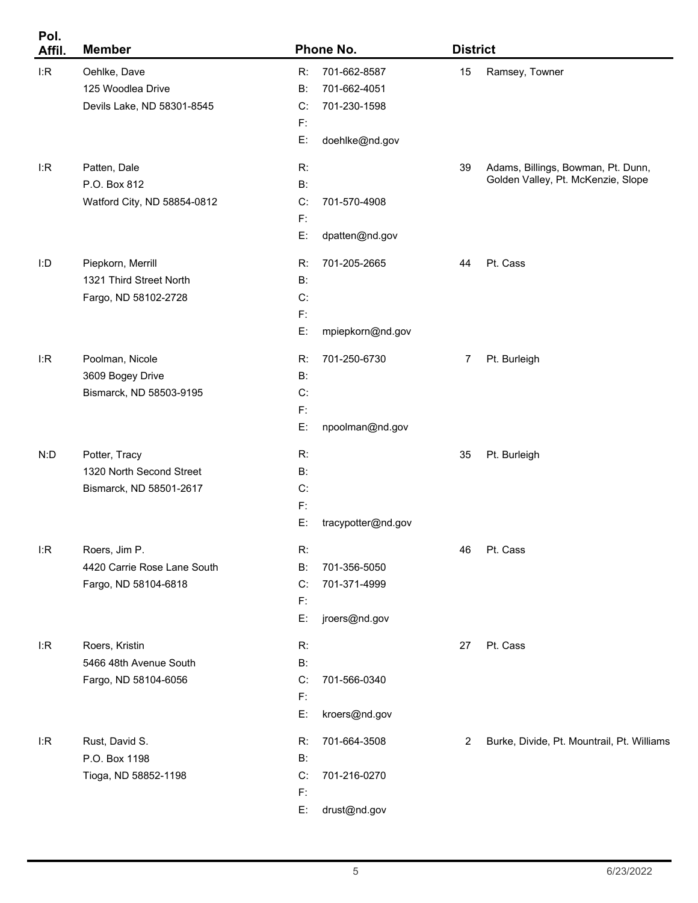| Pol.<br>Affil. | <b>Member</b>               |                | Phone No.          |                | <b>District</b>                            |  |
|----------------|-----------------------------|----------------|--------------------|----------------|--------------------------------------------|--|
| I:R            | Oehlke, Dave                | R:             | 701-662-8587       | 15             | Ramsey, Towner                             |  |
|                | 125 Woodlea Drive           | B:             | 701-662-4051       |                |                                            |  |
|                | Devils Lake, ND 58301-8545  | C:             | 701-230-1598       |                |                                            |  |
|                |                             | $F$ :          |                    |                |                                            |  |
|                |                             | E:             | doehlke@nd.gov     |                |                                            |  |
| l:R            | Patten, Dale                | R:             |                    | 39             | Adams, Billings, Bowman, Pt. Dunn,         |  |
|                | P.O. Box 812                | $B$ :          |                    |                | Golden Valley, Pt. McKenzie, Slope         |  |
|                | Watford City, ND 58854-0812 | C:             | 701-570-4908       |                |                                            |  |
|                |                             | $F$ :          |                    |                |                                            |  |
|                |                             | E:             | dpatten@nd.gov     |                |                                            |  |
| I:D            | Piepkorn, Merrill           | R:             | 701-205-2665       | 44             | Pt. Cass                                   |  |
|                | 1321 Third Street North     | B:             |                    |                |                                            |  |
|                | Fargo, ND 58102-2728        | C:             |                    |                |                                            |  |
|                |                             | $F$ :          |                    |                |                                            |  |
|                |                             | E:             | mpiepkorn@nd.gov   |                |                                            |  |
| l:R            | Poolman, Nicole             | R:             | 701-250-6730       | $\overline{7}$ | Pt. Burleigh                               |  |
|                | 3609 Bogey Drive            | $B$ :          |                    |                |                                            |  |
|                | Bismarck, ND 58503-9195     | C:             |                    |                |                                            |  |
|                |                             | F:             |                    |                |                                            |  |
|                |                             | E:             | npoolman@nd.gov    |                |                                            |  |
| N:D            | Potter, Tracy               | R:             |                    | 35             | Pt. Burleigh                               |  |
|                | 1320 North Second Street    | B:             |                    |                |                                            |  |
|                | Bismarck, ND 58501-2617     | C:             |                    |                |                                            |  |
|                |                             | F:             |                    |                |                                            |  |
|                |                             | Е:             | tracypotter@nd.gov |                |                                            |  |
| l:R            | Roers, Jim P.               | R:             |                    | 46             | Pt. Cass                                   |  |
|                | 4420 Carrie Rose Lane South | B:             | 701-356-5050       |                |                                            |  |
|                | Fargo, ND 58104-6818        | C:             | 701-371-4999       |                |                                            |  |
|                |                             | F:             |                    |                |                                            |  |
|                |                             | E:             | jroers@nd.gov      |                |                                            |  |
| l:R            | Roers, Kristin              | R:             |                    | 27             | Pt. Cass                                   |  |
|                | 5466 48th Avenue South      | <b>B:</b>      |                    |                |                                            |  |
|                | Fargo, ND 58104-6056        | C:             | 701-566-0340       |                |                                            |  |
|                |                             | F:             |                    |                |                                            |  |
|                |                             | E:             | kroers@nd.gov      |                |                                            |  |
| l:R            | Rust, David S.              | R:             | 701-664-3508       | $\overline{2}$ | Burke, Divide, Pt. Mountrail, Pt. Williams |  |
|                | P.O. Box 1198               | B:             |                    |                |                                            |  |
|                | Tioga, ND 58852-1198        | C:             | 701-216-0270       |                |                                            |  |
|                |                             | $\mathsf{F}$ : |                    |                |                                            |  |
|                |                             | E:             | drust@nd.gov       |                |                                            |  |